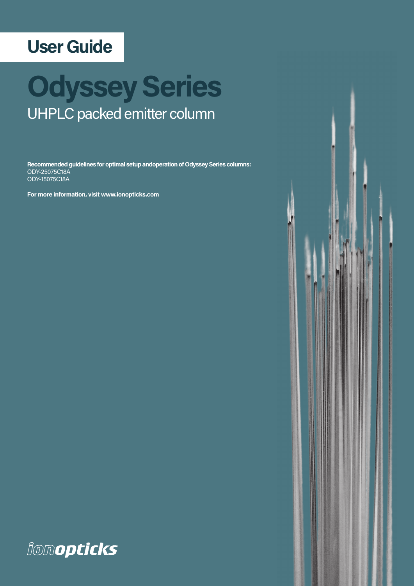# **User Guide**

# **Odyssey Series**  UHPLC packed emitter column

**Recommended guidelines for optimal setup andoperation of Odyssey Series columns:** ODY-25075C18A ODY-15075C18A

**For more information, visit www.ionopticks.com**



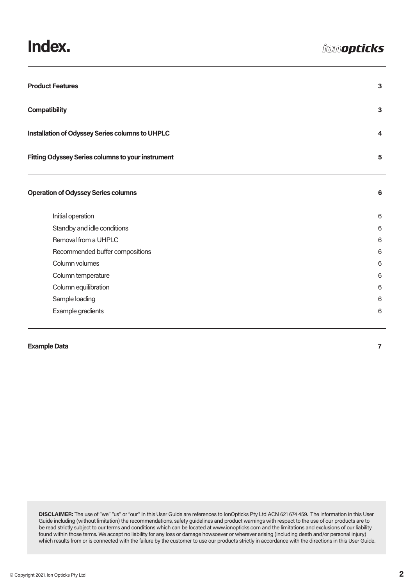### **Index.**

| <b>Product Features</b>                                  |                |
|----------------------------------------------------------|----------------|
| <b>Compatibility</b>                                     | $\mathbf{3}$   |
| Installation of Odyssey Series columns to UHPLC          | 4              |
| <b>Fitting Odyssey Series columns to your instrument</b> | 5              |
| <b>Operation of Odyssey Series columns</b>               | 6              |
| Initial operation                                        | $6\phantom{1}$ |
| Standby and idle conditions                              | 6              |
| Removal from a UHPLC                                     | 6              |
| Recommended buffer compositions                          | $6\phantom{1}$ |
| Column volumes                                           | 6              |
| Column temperature                                       | 6              |
| Column equilibration                                     | 6              |
| Sample loading                                           | 6              |
| Example gradients                                        | 6              |

#### **Example Data** 7

**DISCLAIMER:** The use of "we" "us" or "our" in this User Guide are references to IonOpticks Pty Ltd ACN 621 674 459. The information in this User Guide including (without limitation) the recommendations, safety guidelines and product warnings with respect to the use of our products are to be read strictly subject to our terms and conditions which can be located at www.ionopticks.com and the limitations and exclusions of our liability found within those terms. We accept no liability for any loss or damage howsoever or wherever arising (including death and/or personal injury) which results from or is connected with the failure by the customer to use our products strictly in accordance with the directions in this User Guide.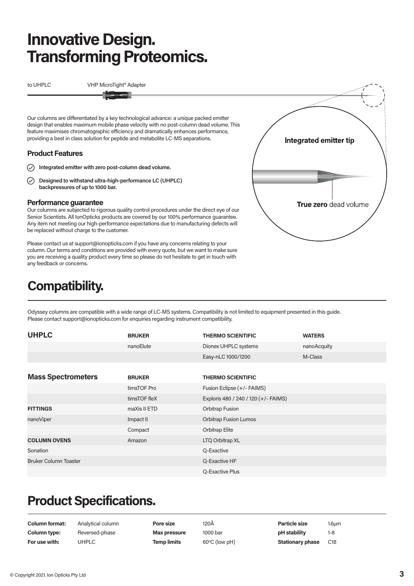## **Innovative Design. Transforming Proteomics.**

to UHPLC VHP MicroTight® Adapter

Our columns are differentiated by a key technological advance: a unique packed emitter design that enables maximum mobile phase velocity with no post-column dead volume. This feature maximises chromatographic efficiency and dramatically enhances performance, providing a best in class solution for peptide and metabolite LC-MS separations.

#### **Product Features**

- **Integrated emitter with zero post-column dead volume.**
- $\oslash$ **Designed to withstand ultra-high-performance LC (UHPLC) backpressures of up to 1000 bar.**

#### **Performance guarantee**

Our columns are subjected to rigorous quality control procedures under the direct eye of our Senior Scientists. All IonOpticks products are covered by our 100% performance guarantee. Any item not meeting our high-performance expectations due to manufacturing defects will be replaced without charge to the customer.

Please contact us at support@ionopticks.com if you have any concerns relating to your column. Our terms and conditions are provided with every quote, but we want to make sure you are receiving a quality product every time so please do not hesitate to get in touch with any feedback or concerns.

### **Compatibility.**



Odyssey columns are compatible with a wide range of LC-MS systems. Compatibility is not limited to equipment presented in this guide. Please contact support@ionopticks.com for enquiries regarding instrument compatibility.

| <b>UHPLC</b>                 | <b>BRUKER</b> | <b>THERMO SCIENTIFIC</b>             | <b>WATERS</b> |
|------------------------------|---------------|--------------------------------------|---------------|
|                              | nanoElute     | Dionex UHPLC systems                 | nanoAcquity   |
|                              |               | Easy-nLC 1000/1200                   | M-Class       |
|                              |               |                                      |               |
| <b>Mass Spectrometers</b>    | <b>BRUKER</b> | <b>THERMO SCIENTIFIC</b>             |               |
|                              | timsTOF Pro   | Fusion Eclipse (+/- FAIMS)           |               |
|                              | timsTOF fleX  | Exploris 480 / 240 / 120 (+/- FAIMS) |               |
| <b>FITTINGS</b>              | maXis II ETD  | Orbitrap Fusion                      |               |
| nanoViper                    | Impact II     | <b>Orbitrap Fusion Lumos</b>         |               |
|                              | Compact       | Orbitrap Elite                       |               |
| <b>COLUMN OVENS</b>          | Amazon        | LTQ Orbitrap XL                      |               |
| Sonation                     |               | Q-Exactive                           |               |
| <b>Bruker Column Toaster</b> |               | Q-Exactive HF                        |               |
|                              |               | Q-Exactive Plus                      |               |

### **Product Specifications.**

| <b>Column format:</b> | Analytical column | Pore size           | 120A                    | <b>Particle size</b>    | $1.6 \mu m$     |
|-----------------------|-------------------|---------------------|-------------------------|-------------------------|-----------------|
| <b>Column type:</b>   | Reversed-phase    | <b>Max pressure</b> | 1000 bar                | pH stability            |                 |
| For use with:         | JHPLC             | <b>Temp limits</b>  | $60^{\circ}$ C (low pH) | <b>Stationary phase</b> | C <sub>18</sub> |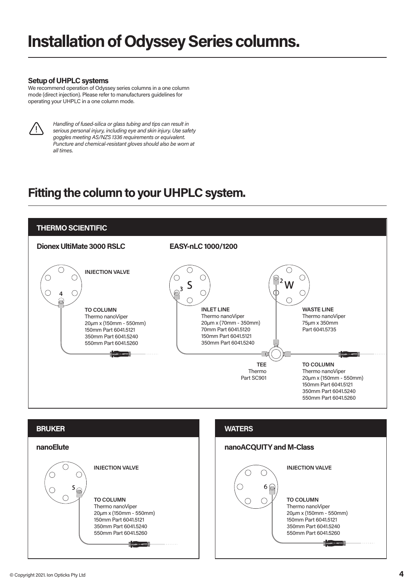#### **Setup of UHPLC systems**

We recommend operation of Odyssey series columns in a one column mode (direct injection). Please refer to manufacturers guidelines for operating your UHPLC in a one column mode.



*Handling of fused-silica or glass tubing and tips can result in serious personal injury, including eye and skin injury. Use safety goggles meeting AS/NZS 1336 requirements or equivalent. Puncture and chemical-resistant gloves should also be worn at all times.*

### **Fitting the column to your UHPLC system.**





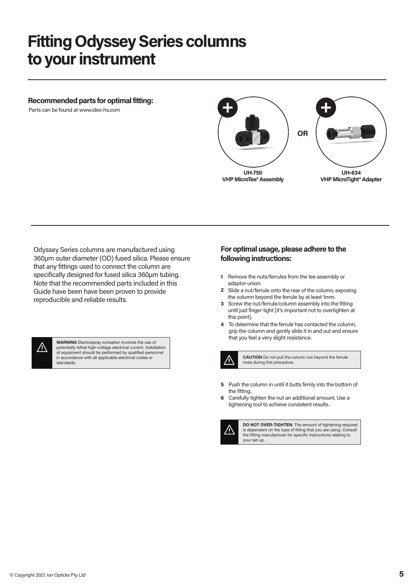### **Fitting Odyssey Series columns to your instrument**

#### **Recommended parts for optimal fitting:**

Parts can be found at www.idex-hs.com



Odyssey Series columns are manufactured using 360µm outer diameter (OD) fused silica. Please ensure that any fittings used to connect the column are specifically designed for fused silica 360µm tubing. Note that the recommended parts included in this Guide have been have been proven to provide reproducible and reliable results.



**WARNING** Electrospray ionisation involves the use of potentially lethal high-voltage electrical current. Installation of equipment should be performed by qualified personnel in accordance with all applicable electrical codes or standards.

#### **For optimal usage, please adhere to the following instructions:**

- 1 Remove the nuts/ferrules from the tee assembly or adaptor union.
- Slide a nut/ferrule onto the rear of the column, exposing **2** the column beyond the ferrule by at least 1mm.
- **3** Screw the nut/ferrule/column assembly into the fitting until just finger tight (it's important not to overtighten at this point).
- To determine that the ferrule has contacted the column, **4** grip the column and gently slide it in and out and ensure that you feel a very slight resistance.



**CAUTION** Do not pull the column out beyond the ferrule nose during this procedure.

- Push the column in until it butts firmly into the bottom of **5** the fitting.
- Carefully tighten the nut an additional amount. Use a tightening tool to achieve consistent results. **6**



**DO NOT OVER-TIGHTEN.** The amount of tightening required is dependent on the type of fitting that you are using. Consult the fitting manufacturer for specific instructions relating to your set up.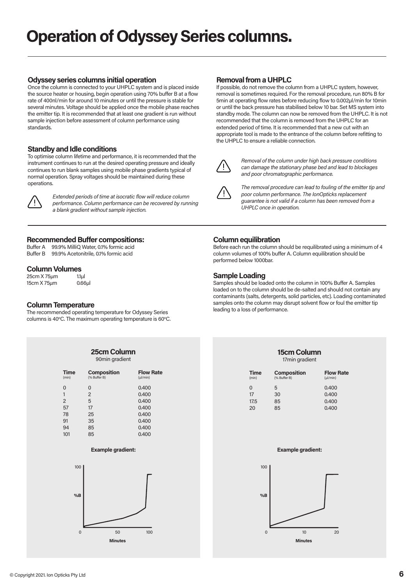#### **Odyssey series columns initial operation**

Once the column is connected to your UHPLC system and is placed inside the source heater or housing, begin operation using 70% buffer B at a flow rate of 400nl/min for around 10 minutes or until the pressure is stable for several minutes. Voltage should be applied once the mobile phase reaches the emitter tip. It is recommended that at least one gradient is run without sample injection before assessment of column performance using standards.

#### **Standby and Idle conditions**

To optimise column lifetime and performance, it is recommended that the instrument continues to run at the desired operating pressure and ideally continues to run blank samples using mobile phase gradients typical of normal operation. Spray voltages should be maintained during these operations.



 *Extended periods of time at isocratic flow will reduce column performance. Column performance can be recovered by running a blank gradient without sample injection.*

#### **Recommended Buffer compositions:**

Buffer A 99.9% MilliQ Water, 0.1% formic acid Buffer B 99.9% Acetonitrile, 0.1% formic acid

#### **Column Volumes**

25cm X 75μm 1.1μl 15cm X 75μm 0.66μl

#### **Column Temperature**

The recommended operating temperature for Odyssey Series columns is 40°C. The maximum operating temperature is 60°C.

|                      | 25cm Column<br>90min gradient      |                                  |
|----------------------|------------------------------------|----------------------------------|
| <b>Time</b><br>(min) | <b>Composition</b><br>(% Buffer B) | <b>Flow Rate</b><br>$(\mu$ /min) |
| $\Omega$             | $\Omega$                           | 0.400                            |
| 1                    | $\overline{2}$                     | 0.400                            |
| 2                    | 5                                  | 0.400                            |
| 57                   | 17                                 | 0.400                            |
| 78                   | 25                                 | 0.400                            |
| 91                   | 35                                 | 0.400                            |
| 94                   | 85                                 | 0.400                            |
| 101                  | 85                                 | 0.400                            |

#### **Example gradient:**



#### **Removal from a UHPLC**

If possible, do not remove the column from a UHPLC system, however, removal is sometimes required. For the removal procedure, run 80% B for 5min at operating flow rates before reducing flow to 0.002µl/min for 10min or until the back pressure has stabilised below 10 bar. Set MS system into standby mode. The column can now be removed from the UHPLC. It is not recommended that the column is removed from the UHPLC for an extended period of time. It is recommended that a new cut with an appropriate tool is made to the entrance of the column before refitting to the UHPLC to ensure a reliable connection.



 *Removal of the column under high back pressure conditions can damage the stationary phase bed and lead to blockages and poor chromatographic performance.*



 *The removal procedure can lead to fouling of the emitter tip and poor column performance. The IonOpticks replacement guarantee is not valid if a column has been removed from a UHPLC once in operation.*

#### **Column equilibration**

Before each run the column should be requilibrated using a minimum of 4 column volumes of 100% buffer A. Column equilibration should be performed below 1000bar.

#### **Sample Loading**

Samples should be loaded onto the column in 100% Buffer A. Samples loaded on to the column should be de-salted and should not contain any contaminants (salts, detergents, solid particles, etc). Loading contaminated samples onto the column may disrupt solvent flow or foul the emitter tip leading to a loss of performance.

#### **15cm Column** 17min gradient

| <b>Composition</b><br>(% Buffer B) | <b>Flow Rate</b><br>$(\mu$ /min) |
|------------------------------------|----------------------------------|
| 5                                  | 0.400                            |
| 30                                 | 0.400                            |
| 85                                 | 0.400                            |
| 85                                 | 0.400                            |
|                                    |                                  |

#### **Example gradient:**

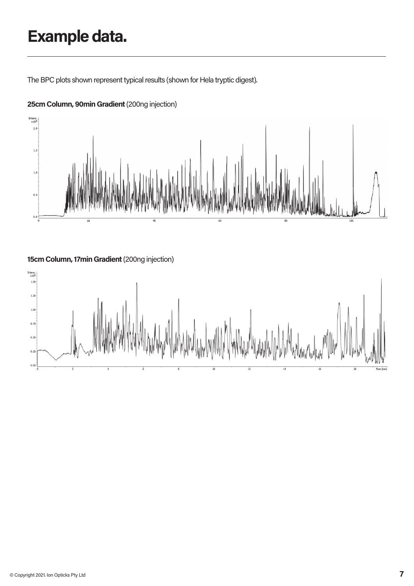# **Example data.**

The BPC plots shown represent typical results (shown for Hela tryptic digest).



#### **25cm Column, 90min Gradient** (200ng injection)

**15cm Column, 17min Gradient** (200ng injection)